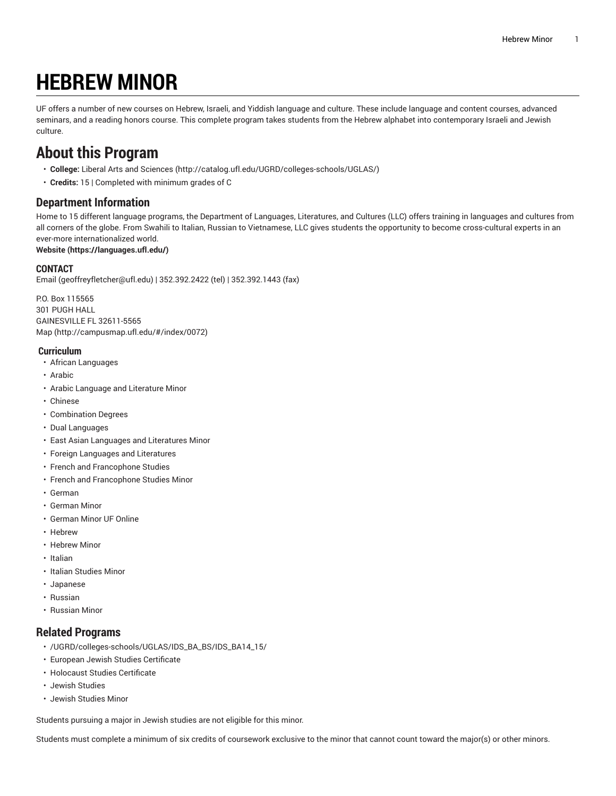# **HEBREW MINOR**

UF offers a number of new courses on Hebrew, Israeli, and Yiddish language and culture. These include language and content courses, advanced seminars, and a reading honors course. This complete program takes students from the Hebrew alphabet into contemporary Israeli and Jewish culture.

### **About this Program**

- **College:** Liberal Arts and [Sciences](http://catalog.ufl.edu/UGRD/colleges-schools/UGLAS/) ([http://catalog.ufl.edu/UGRD/colleges-schools/UGLAS/\)](http://catalog.ufl.edu/UGRD/colleges-schools/UGLAS/)
- **Credits:** 15 | Completed with minimum grades of C

#### **Department Information**

Home to 15 different language programs, the Department of Languages, Literatures, and Cultures (LLC) offers training in languages and cultures from all corners of the globe. From Swahili to Italian, Russian to Vietnamese, LLC gives students the opportunity to become cross-cultural experts in an ever-more internationalized world.

#### **[Website](https://languages.ufl.edu/) ([https://languages.ufl.edu/\)](https://languages.ufl.edu/)**

#### **CONTACT**

[Email](mailto:geoffreyfletcher@ufl.edu) ([geoffreyfletcher@ufl.edu\)](geoffreyfletcher@ufl.edu) | 352.392.2422 (tel) | 352.392.1443 (fax)

P.O. Box 115565 301 PUGH HALL GAINESVILLE FL 32611-5565 [Map](http://campusmap.ufl.edu/#/index/0072) ([http://campusmap.ufl.edu/#/index/0072\)](http://campusmap.ufl.edu/#/index/0072)

#### **Curriculum**

- African Languages
- Arabic
- Arabic Language and Literature Minor
- Chinese
- Combination Degrees
- Dual Languages
- East Asian Languages and Literatures Minor
- Foreign Languages and Literatures
- French and Francophone Studies
- French and Francophone Studies Minor
- German
- German Minor
- German Minor UF Online
- Hebrew
- Hebrew Minor
- Italian
- Italian Studies Minor
- Japanese
- Russian
- Russian Minor

#### **Related Programs**

- /UGRD/colleges-schools/UGLAS/IDS\_BA\_BS/IDS\_BA14\_15/
- European Jewish Studies Certificate
- Holocaust Studies Certificate
- Jewish Studies
- Jewish Studies Minor

Students pursuing a major in Jewish studies are not eligible for this minor.

Students must complete a minimum of six credits of coursework exclusive to the minor that cannot count toward the major(s) or other minors.